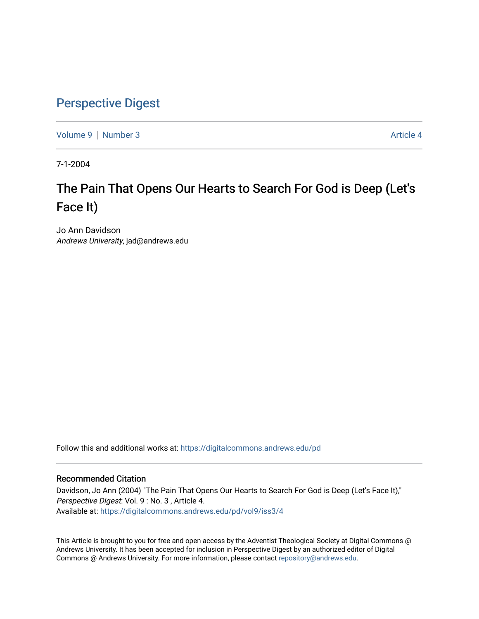### [Perspective Digest](https://digitalcommons.andrews.edu/pd)

[Volume 9](https://digitalcommons.andrews.edu/pd/vol9) | [Number 3](https://digitalcommons.andrews.edu/pd/vol9/iss3) Article 4

7-1-2004

## The Pain That Opens Our Hearts to Search For God is Deep (Let's Face It)

Jo Ann Davidson Andrews University, jad@andrews.edu

Follow this and additional works at: [https://digitalcommons.andrews.edu/pd](https://digitalcommons.andrews.edu/pd?utm_source=digitalcommons.andrews.edu%2Fpd%2Fvol9%2Fiss3%2F4&utm_medium=PDF&utm_campaign=PDFCoverPages)

#### Recommended Citation

Davidson, Jo Ann (2004) "The Pain That Opens Our Hearts to Search For God is Deep (Let's Face It)," Perspective Digest: Vol. 9 : No. 3 , Article 4. Available at: [https://digitalcommons.andrews.edu/pd/vol9/iss3/4](https://digitalcommons.andrews.edu/pd/vol9/iss3/4?utm_source=digitalcommons.andrews.edu%2Fpd%2Fvol9%2Fiss3%2F4&utm_medium=PDF&utm_campaign=PDFCoverPages)

This Article is brought to you for free and open access by the Adventist Theological Society at Digital Commons @ Andrews University. It has been accepted for inclusion in Perspective Digest by an authorized editor of Digital Commons @ Andrews University. For more information, please contact [repository@andrews.edu.](mailto:repository@andrews.edu)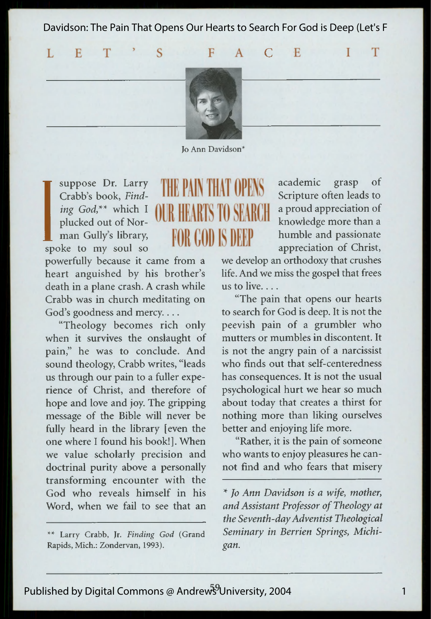Davidson: The Pain That Opens Our Hearts to Search For God is Deep (Let's F

 $F$ 

 $\Gamma$ 

**E** 

T

T

 $\mathbf{A}$ 

L  $E$ T  $\overline{S}$ 



Jo Ann Davidson\*

**T**<br>
Craing<br>
plu<br>
ma<br>
spoke<br>
nower suppose Dr. Larry Crabb's book, *Finding God,\*\** which I plucked out of Norman Gully's library, ke to my soul so

# THE PAIN THAT OPE OIR HARTS TO SPAROT **FOR COD IS DEEP**

powerfully because it came from a heart anguished by his brother's death in a plane crash. A crash while Crabb was in church meditating on God's goodness and mercy....

"Theology becomes rich only when it survives the onslaught of pain," he was to conclude. And sound theology, Crabb writes, "leads us through our pain to a fuller experience of Christ, and therefore of hope and love and joy. The gripping message of the Bible will never be fully heard in the library [even the one where I found his book!]. When we value scholarly precision and doctrinal purity above a personally transforming encounter with the God who reveals himself in his Word, when we fail to see that an

\*\* Larry Crabb, Jr. *Finding God* (Grand Rapids, Mich.: Zondervan, 1993).

academic grasp of Scripture often leads to a proud appreciation of knowledge more than a humble and passionate appreciation of Christ,

we develop an orthodoxy that crushes life. And we miss the gospel that frees us to live....

"The pain that opens our hearts to search for God is deep. It is not the peevish pain of a grumbler who mutters or mumbles in discontent. It is not the angry pain of a narcissist who finds out that self-centeredness has consequences. It is not the usual psychological hurt we hear so much about today that creates a thirst for nothing more than liking ourselves better and enjoying life more.

"Rather, it is the pain of someone who wants to enjoy pleasures he cannot find and who fears that misery

*\* Jo Ann Davidson is a wife, mother, and Assistant Professor of Theology at the Seventh-day Adventist Theological Seminary in Berrien Springs, Michigan.*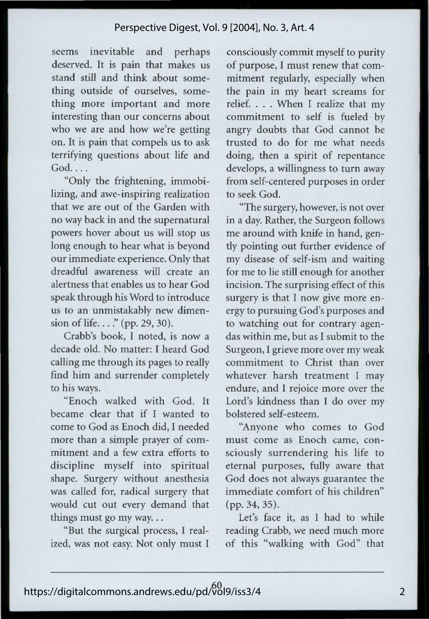seems inevitable and perhaps deserved. It is pain that makes us stand still and think about something outside of ourselves, something more important and more interesting than our concerns about who we are and how we're getting on. It is pain that compels us to ask terrifying questions about life and God....

"Only the frightening, immobilizing, and awe-inspiring realization that we are out of the Garden with no way back in and the supernatural powers hover about us will stop us long enough to hear what is beyond our immediate experience. Only that dreadful awareness will create an alertness that enables us to hear God speak through his Word to introduce us to an unmistakably new dimension of life...." (pp. 29, 30).

Crabb's book, I noted, is now a decade old. No matter: I heard God calling me through its pages to really find him and surrender completely to his ways.

"Enoch walked with God. It became clear that if I wanted to come to God as Enoch did, I needed more than a simple prayer of commitment and a few extra efforts to discipline myself into spiritual shape. Surgery without anesthesia was called for, radical surgery that would cut out every demand that things must go my way...

"But the surgical process, I realized, was not easy. Not only must I consciously commit myself to purity of purpose, I must renew that commitment regularly, especially when the pain in my heart screams for relief. . . . When I realize that my commitment to self is fueled by angry doubts that God cannot be trusted to do for me what needs doing, then a spirit of repentance develops, a willingness to turn away from self-centered purposes in order to seek God.

"The surgery, however, is not over in a day. Rather, the Surgeon follows me around with knife in hand, gently pointing out further evidence of my disease of self-ism and waiting for me to lie still enough for another incision. The surprising effect of this surgery is that I now give more energy to pursuing God's purposes and to watching out for contrary agendas within me, but as I submit to the Surgeon, I grieve more over my weak commitment to Christ than over whatever harsh treatment I may endure, and I rejoice more over the Lord's kindness than I do over my bolstered self-esteem.

"Anyone who comes to God must come as Enoch came, consciously surrendering his life to eternal purposes, fully aware that God does not always guarantee the immediate comfort of his children" (pp. 34, 35).

Let's face it, as I had to while reading Crabb, we need much more of this "walking with God" that